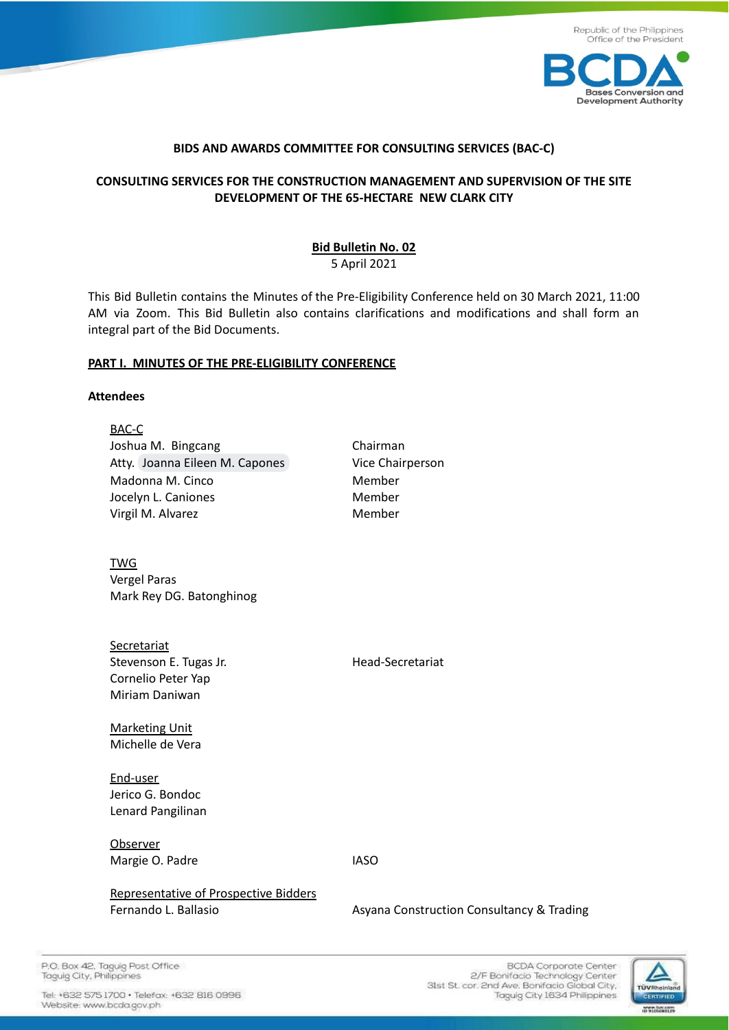



#### **BIDS AND AWARDS COMMITTEE FOR CONSULTING SERVICES (BAC-C)**

# **CONSULTING SERVICES FOR THE CONSTRUCTION MANAGEMENT AND SUPERVISION OF THE SITE DEVELOPMENT OF THE 65-HECTARE NEW CLARK CITY**

**Bid Bulletin No. 02** 5 April 2021

This Bid Bulletin contains the Minutes of the Pre-Eligibility Conference held on 30 March 2021, 11:00 AM via Zoom. This Bid Bulletin also contains clarifications and modifications and shall form an integral part of the Bid Documents.

#### **PART I. MINUTES OF THE PRE-ELIGIBILITY CONFERENCE**

#### **Attendees**

| BAC-C                                 |                                           |
|---------------------------------------|-------------------------------------------|
| Joshua M. Bingcang                    | Chairman                                  |
| Atty. Joanna Eileen M. Capones        | Vice Chairperson                          |
| Madonna M. Cinco                      | Member                                    |
| Jocelyn L. Caniones                   | Member                                    |
| Virgil M. Alvarez                     | Member                                    |
| <b>TWG</b>                            |                                           |
| Vergel Paras                          |                                           |
| Mark Rey DG. Batonghinog              |                                           |
| Secretariat                           |                                           |
| Stevenson E. Tugas Jr.                | Head-Secretariat                          |
| Cornelio Peter Yap                    |                                           |
| Miriam Daniwan                        |                                           |
| <b>Marketing Unit</b>                 |                                           |
| Michelle de Vera                      |                                           |
| End-user                              |                                           |
| Jerico G. Bondoc                      |                                           |
| Lenard Pangilinan                     |                                           |
| Observer                              |                                           |
| Margie O. Padre                       | <b>IASO</b>                               |
| Representative of Prospective Bidders |                                           |
| Fernando L. Ballasio                  | Asyana Construction Consultancy & Trading |
|                                       |                                           |

P.O. Box 42, Taguig Post Office Taguig City, Philippines

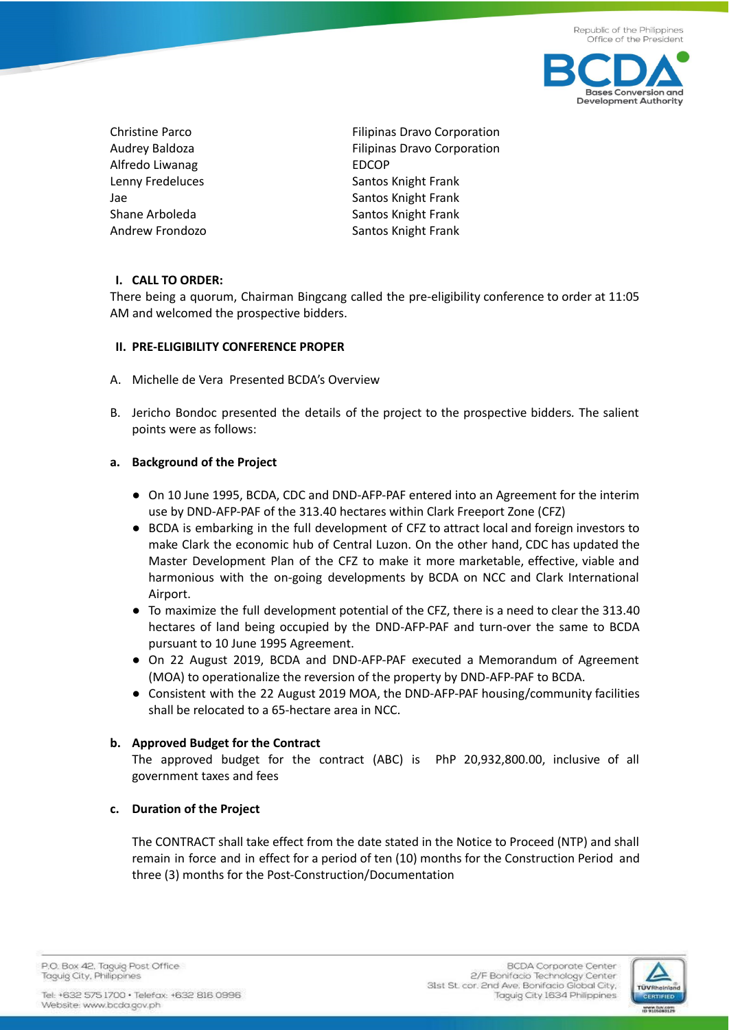

Alfredo Liwanag EDCOP

Christine Parco **Filipinas Dravo Corporation** Audrey Baldoza **Filipinas Dravo Corporation** Lenny Fredeluces Santos Knight Frank Jae Santos Knight Frank Shane Arboleda Shane Arboleda Santos Knight Frank Andrew Frondozo Santos Knight Frank

## **I. CALL TO ORDER:**

There being a quorum, Chairman Bingcang called the pre-eligibility conference to order at 11:05 AM and welcomed the prospective bidders.

### **II. PRE-ELIGIBILITY CONFERENCE PROPER**

- A. Michelle de Vera Presented BCDA's Overview
- B. Jericho Bondoc presented the details of the project to the prospective bidders*.* The salient points were as follows:

### **a. Background of the Project**

- On 10 June 1995, BCDA, CDC and DND-AFP-PAF entered into an Agreement for the interim use by DND-AFP-PAF of the 313.40 hectares within Clark Freeport Zone (CFZ)
- BCDA is embarking in the full development of CFZ to attract local and foreign investors to make Clark the economic hub of Central Luzon. On the other hand, CDC has updated the Master Development Plan of the CFZ to make it more marketable, effective, viable and harmonious with the on-going developments by BCDA on NCC and Clark International Airport.
- To maximize the full development potential of the CFZ, there is a need to clear the 313.40 hectares of land being occupied by the DND-AFP-PAF and turn-over the same to BCDA pursuant to 10 June 1995 Agreement.
- On 22 August 2019, BCDA and DND-AFP-PAF executed a Memorandum of Agreement (MOA) to operationalize the reversion of the property by DND-AFP-PAF to BCDA.
- Consistent with the 22 August 2019 MOA, the DND-AFP-PAF housing/community facilities shall be relocated to a 65-hectare area in NCC.

### **b. Approved Budget for the Contract**

The approved budget for the contract (ABC) is PhP 20,932,800.00, inclusive of all government taxes and fees

### **c. Duration of the Project**

The CONTRACT shall take effect from the date stated in the Notice to Proceed (NTP) and shall remain in force and in effect for a period of ten (10) months for the Construction Period and three (3) months for the Post-Construction/Documentation

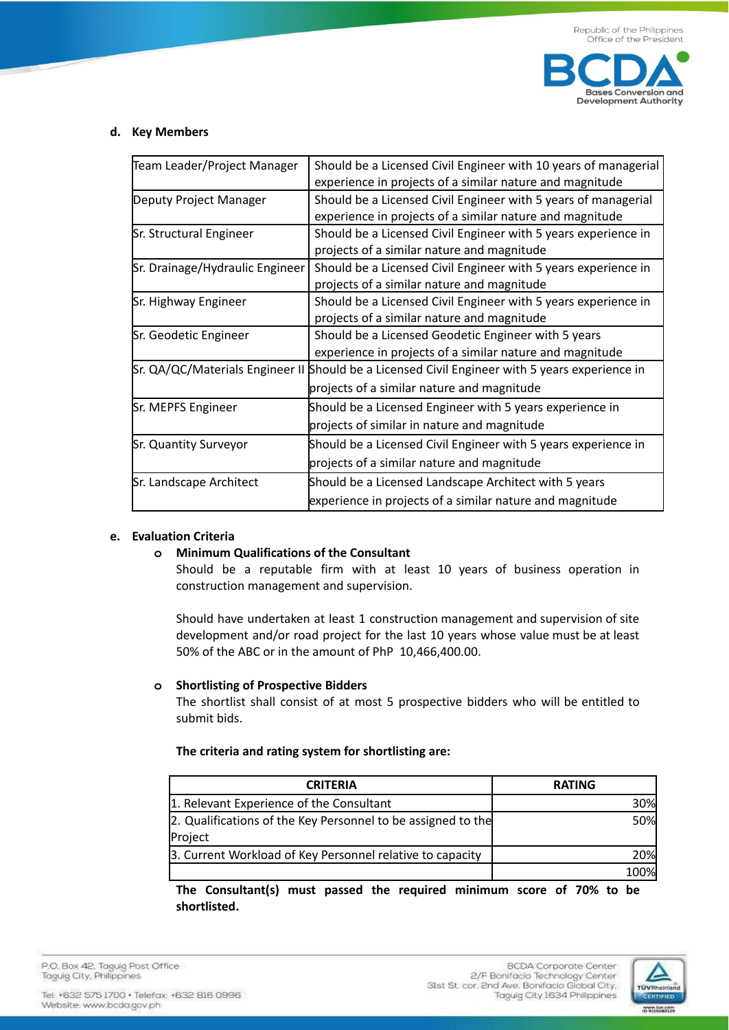

#### **d. Key Members**

| Team Leader/Project Manager                                                                       | Should be a Licensed Civil Engineer with 10 years of managerial                                |  |
|---------------------------------------------------------------------------------------------------|------------------------------------------------------------------------------------------------|--|
|                                                                                                   | experience in projects of a similar nature and magnitude                                       |  |
| Deputy Project Manager                                                                            | Should be a Licensed Civil Engineer with 5 years of managerial                                 |  |
|                                                                                                   | experience in projects of a similar nature and magnitude                                       |  |
| Sr. Structural Engineer                                                                           | Should be a Licensed Civil Engineer with 5 years experience in                                 |  |
|                                                                                                   | projects of a similar nature and magnitude                                                     |  |
| Should be a Licensed Civil Engineer with 5 years experience in<br>Sr. Drainage/Hydraulic Engineer |                                                                                                |  |
|                                                                                                   | projects of a similar nature and magnitude                                                     |  |
| Sr. Highway Engineer                                                                              | Should be a Licensed Civil Engineer with 5 years experience in                                 |  |
|                                                                                                   | projects of a similar nature and magnitude                                                     |  |
| Sr. Geodetic Engineer                                                                             | Should be a Licensed Geodetic Engineer with 5 years                                            |  |
|                                                                                                   | experience in projects of a similar nature and magnitude                                       |  |
|                                                                                                   | Sr. QA/QC/Materials Engineer II Should be a Licensed Civil Engineer with 5 years experience in |  |
|                                                                                                   | projects of a similar nature and magnitude                                                     |  |
| Sr. MEPFS Engineer                                                                                | Should be a Licensed Engineer with 5 years experience in                                       |  |
|                                                                                                   | projects of similar in nature and magnitude                                                    |  |
| Sr. Quantity Surveyor                                                                             | Should be a Licensed Civil Engineer with 5 years experience in                                 |  |
|                                                                                                   | projects of a similar nature and magnitude                                                     |  |
| Sr. Landscape Architect                                                                           | Should be a Licensed Landscape Architect with 5 years                                          |  |
|                                                                                                   | experience in projects of a similar nature and magnitude                                       |  |

#### **e. Evaluation Criteria**

### **o Minimum Qualifications of the Consultant**

Should be a reputable firm with at least 10 years of business operation in construction management and supervision.

Should have undertaken at least 1 construction management and supervision of site development and/or road project for the last 10 years whose value must be at least 50% of the ABC or in the amount of PhP 10,466,400.00.

#### **o Shortlisting of Prospective Bidders**

The shortlist shall consist of at most 5 prospective bidders who will be entitled to submit bids.

#### **The criteria and rating system for shortlisting are:**

| <b>CRITERIA</b>                                              | <b>RATING</b> |
|--------------------------------------------------------------|---------------|
| 1. Relevant Experience of the Consultant                     | 30%           |
| 2. Qualifications of the Key Personnel to be assigned to the | 50%           |
| Project                                                      |               |
| 3. Current Workload of Key Personnel relative to capacity    | 20%l          |
|                                                              | 100%          |

**The Consultant(s) must passed the required minimum score of 70% to be shortlisted.**

P.O. Box 42, Taguig Post Office Taguig City, Philippines

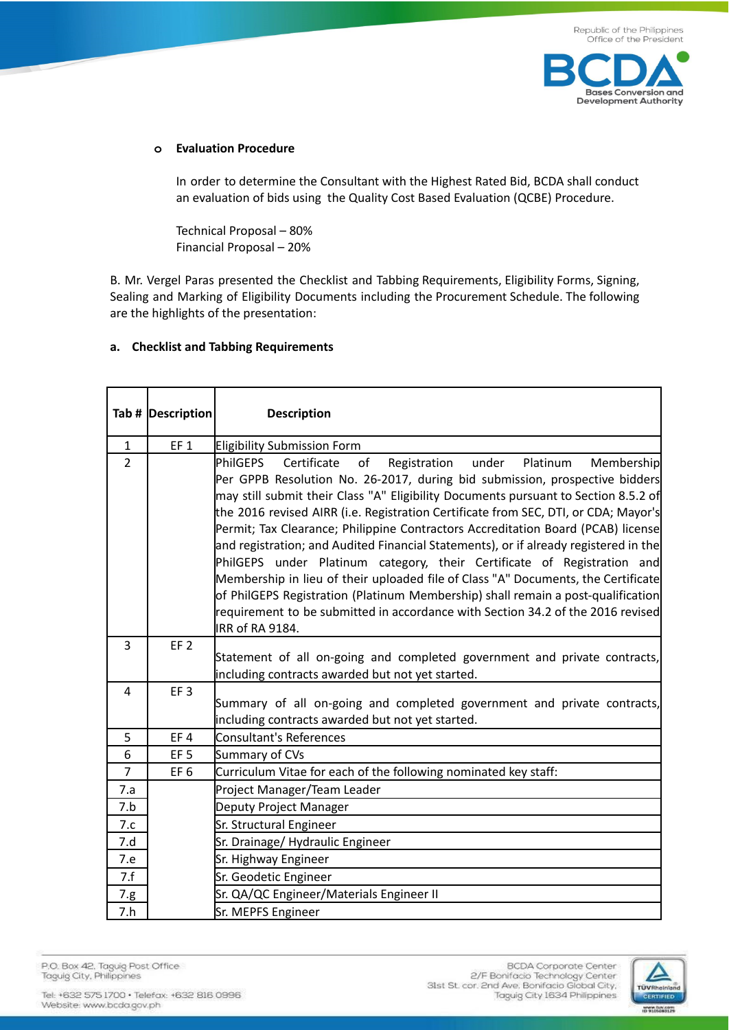

### **o Evaluation Procedure**

In order to determine the Consultant with the Highest Rated Bid, BCDA shall conduct an evaluation of bids using the Quality Cost Based Evaluation (QCBE) Procedure.

Technical Proposal – 80% Financial Proposal – 20%

B. Mr. Vergel Paras presented the Checklist and Tabbing Requirements, Eligibility Forms, Signing, Sealing and Marking of Eligibility Documents including the Procurement Schedule. The following are the highlights of the presentation:

### **a. Checklist and Tabbing Requirements**

|                | Tab #  Description | <b>Description</b>                                                                                                                                                                                                                                                                                                                                                                                                                                                                                                                                                                                                                                                                                                                                                                                                                                                                         |
|----------------|--------------------|--------------------------------------------------------------------------------------------------------------------------------------------------------------------------------------------------------------------------------------------------------------------------------------------------------------------------------------------------------------------------------------------------------------------------------------------------------------------------------------------------------------------------------------------------------------------------------------------------------------------------------------------------------------------------------------------------------------------------------------------------------------------------------------------------------------------------------------------------------------------------------------------|
| $\mathbf{1}$   | EF <sub>1</sub>    | Eligibility Submission Form                                                                                                                                                                                                                                                                                                                                                                                                                                                                                                                                                                                                                                                                                                                                                                                                                                                                |
| $\overline{2}$ |                    | <b>PhilGEPS</b><br>under<br>Certificate<br>Platinum<br>Membership<br>of<br>Registration<br>Per GPPB Resolution No. 26-2017, during bid submission, prospective bidders<br>may still submit their Class "A" Eligibility Documents pursuant to Section 8.5.2 of<br>the 2016 revised AIRR (i.e. Registration Certificate from SEC, DTI, or CDA; Mayor's<br>Permit; Tax Clearance; Philippine Contractors Accreditation Board (PCAB) license<br>and registration; and Audited Financial Statements), or if already registered in the<br>PhilGEPS under Platinum category, their Certificate of Registration and<br>Membership in lieu of their uploaded file of Class "A" Documents, the Certificate<br>of PhilGEPS Registration (Platinum Membership) shall remain a post-qualification<br>requirement to be submitted in accordance with Section 34.2 of the 2016 revised<br>IRR of RA 9184. |
| 3              | EF <sub>2</sub>    | Statement of all on-going and completed government and private contracts,<br>including contracts awarded but not yet started.                                                                                                                                                                                                                                                                                                                                                                                                                                                                                                                                                                                                                                                                                                                                                              |
| $\overline{4}$ | EF <sub>3</sub>    | Summary of all on-going and completed government and private contracts,<br>including contracts awarded but not yet started.                                                                                                                                                                                                                                                                                                                                                                                                                                                                                                                                                                                                                                                                                                                                                                |
| 5              | EF4                | <b>Consultant's References</b>                                                                                                                                                                                                                                                                                                                                                                                                                                                                                                                                                                                                                                                                                                                                                                                                                                                             |
| 6              | EF <sub>5</sub>    | Summary of CVs                                                                                                                                                                                                                                                                                                                                                                                                                                                                                                                                                                                                                                                                                                                                                                                                                                                                             |
| $\overline{7}$ | EF <sub>6</sub>    | Curriculum Vitae for each of the following nominated key staff:                                                                                                                                                                                                                                                                                                                                                                                                                                                                                                                                                                                                                                                                                                                                                                                                                            |
| 7.a            |                    | Project Manager/Team Leader                                                                                                                                                                                                                                                                                                                                                                                                                                                                                                                                                                                                                                                                                                                                                                                                                                                                |
| 7.b            |                    | Deputy Project Manager                                                                                                                                                                                                                                                                                                                                                                                                                                                                                                                                                                                                                                                                                                                                                                                                                                                                     |
| 7.c            |                    | Sr. Structural Engineer                                                                                                                                                                                                                                                                                                                                                                                                                                                                                                                                                                                                                                                                                                                                                                                                                                                                    |
| 7.d            |                    | Sr. Drainage/Hydraulic Engineer                                                                                                                                                                                                                                                                                                                                                                                                                                                                                                                                                                                                                                                                                                                                                                                                                                                            |
| 7.e            |                    | Sr. Highway Engineer                                                                                                                                                                                                                                                                                                                                                                                                                                                                                                                                                                                                                                                                                                                                                                                                                                                                       |
| 7.f            |                    | Sr. Geodetic Engineer                                                                                                                                                                                                                                                                                                                                                                                                                                                                                                                                                                                                                                                                                                                                                                                                                                                                      |
| 7.g.           |                    | Sr. QA/QC Engineer/Materials Engineer II                                                                                                                                                                                                                                                                                                                                                                                                                                                                                                                                                                                                                                                                                                                                                                                                                                                   |
| 7.h            |                    | Sr. MEPFS Engineer                                                                                                                                                                                                                                                                                                                                                                                                                                                                                                                                                                                                                                                                                                                                                                                                                                                                         |

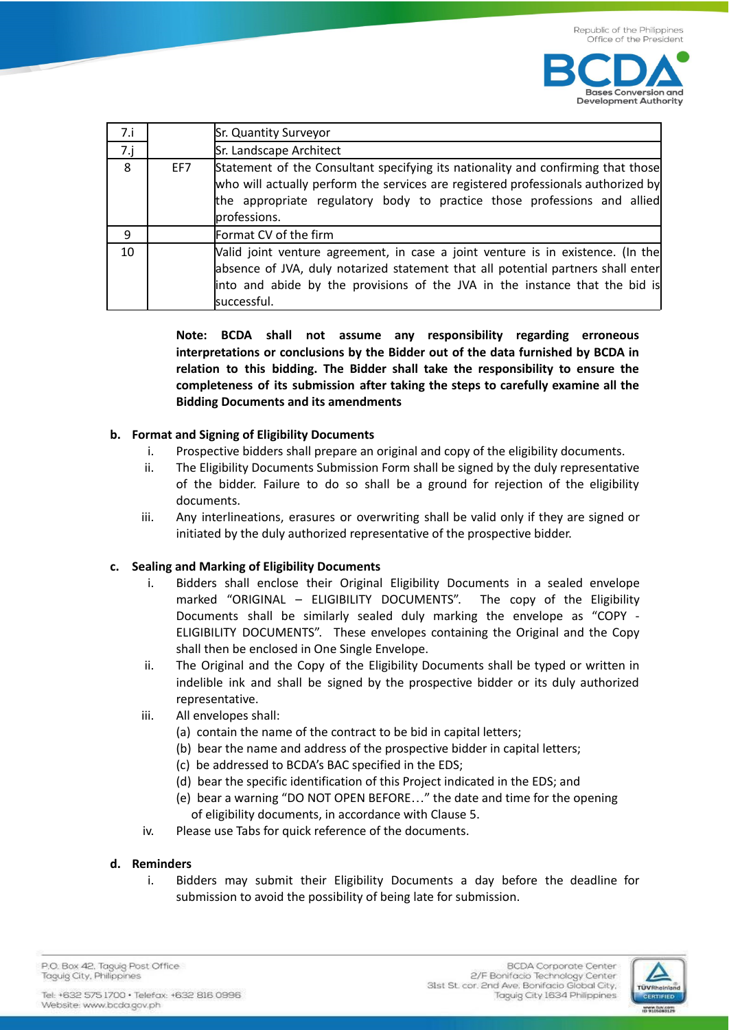

| 7.1         |     | Sr. Quantity Surveyor                                                                                                                                                                                                                                             |
|-------------|-----|-------------------------------------------------------------------------------------------------------------------------------------------------------------------------------------------------------------------------------------------------------------------|
| $7 \cdot j$ |     | Sr. Landscape Architect                                                                                                                                                                                                                                           |
| 8           | EF7 | Statement of the Consultant specifying its nationality and confirming that those<br>who will actually perform the services are registered professionals authorized by<br>the appropriate regulatory body to practice those professions and allied<br>professions. |
| 9           |     | Format CV of the firm                                                                                                                                                                                                                                             |
| 10          |     | Valid joint venture agreement, in case a joint venture is in existence. (In the<br>absence of JVA, duly notarized statement that all potential partners shall enter<br>into and abide by the provisions of the JVA in the instance that the bid is<br>successful. |

**Note: BCDA shall not assume any responsibility regarding erroneous interpretations or conclusions by the Bidder out of the data furnished by BCDA in relation to this bidding. The Bidder shall take the responsibility to ensure the completeness of its submission after taking the steps to carefully examine all the Bidding Documents and its amendments**

### **b. Format and Signing of Eligibility Documents**

- i. Prospective bidders shall prepare an original and copy of the eligibility documents.
- ii. The Eligibility Documents Submission Form shall be signed by the duly representative of the bidder. Failure to do so shall be a ground for rejection of the eligibility documents.
- iii. Any interlineations, erasures or overwriting shall be valid only if they are signed or initiated by the duly authorized representative of the prospective bidder.

### **c. Sealing and Marking of Eligibility Documents**

- i. Bidders shall enclose their Original Eligibility Documents in a sealed envelope marked "ORIGINAL – ELIGIBILITY DOCUMENTS". The copy of the Eligibility Documents shall be similarly sealed duly marking the envelope as "COPY - ELIGIBILITY DOCUMENTS". These envelopes containing the Original and the Copy shall then be enclosed in One Single Envelope.
- ii. The Original and the Copy of the Eligibility Documents shall be typed or written in indelible ink and shall be signed by the prospective bidder or its duly authorized representative.
- iii. All envelopes shall:
	- (a) contain the name of the contract to be bid in capital letters;
	- (b) bear the name and address of the prospective bidder in capital letters;
	- (c) be addressed to BCDA's BAC specified in the EDS;
	- (d) bear the specific identification of this Project indicated in the EDS; and
	- (e) bear a warning "DO NOT OPEN BEFORE…" the date and time for the opening of eligibility documents, in accordance with Clause 5.
- iv. Please use Tabs for quick reference of the documents.

### **d. Reminders**

i. Bidders may submit their Eligibility Documents a day before the deadline for submission to avoid the possibility of being late for submission.

P.O. Box 42. Taguig Post Office Taguig City, Philippines

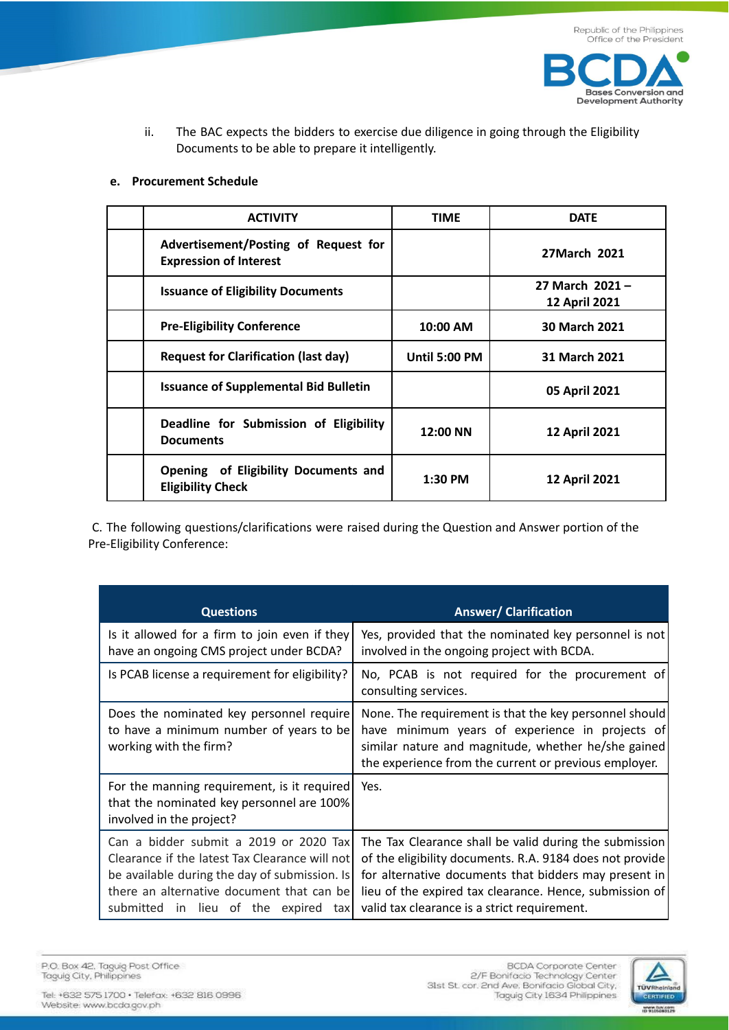

ii. The BAC expects the bidders to exercise due diligence in going through the Eligibility Documents to be able to prepare it intelligently.

#### **e. Procurement Schedule**

| <b>ACTIVITY</b>                                                       | <b>TIME</b>          | <b>DATE</b>                             |
|-----------------------------------------------------------------------|----------------------|-----------------------------------------|
| Advertisement/Posting of Request for<br><b>Expression of Interest</b> |                      | 27March 2021                            |
| <b>Issuance of Eligibility Documents</b>                              |                      | 27 March 2021 -<br><b>12 April 2021</b> |
| <b>Pre-Eligibility Conference</b>                                     | 10:00 AM             | 30 March 2021                           |
| <b>Request for Clarification (last day)</b>                           | <b>Until 5:00 PM</b> | 31 March 2021                           |
| <b>Issuance of Supplemental Bid Bulletin</b>                          |                      | 05 April 2021                           |
| Deadline for Submission of Eligibility<br><b>Documents</b>            | 12:00 NN             | <b>12 April 2021</b>                    |
| Opening of Eligibility Documents and<br><b>Eligibility Check</b>      | $1:30$ PM            | <b>12 April 2021</b>                    |

C. The following questions/clarifications were raised during the Question and Answer portion of the Pre-Eligibility Conference:

| <b>Questions</b>                                                                                                                                                                                                                     | <b>Answer/ Clarification</b>                                                                                                                                                                                                                                                           |
|--------------------------------------------------------------------------------------------------------------------------------------------------------------------------------------------------------------------------------------|----------------------------------------------------------------------------------------------------------------------------------------------------------------------------------------------------------------------------------------------------------------------------------------|
| Is it allowed for a firm to join even if they<br>have an ongoing CMS project under BCDA?                                                                                                                                             | Yes, provided that the nominated key personnel is not<br>involved in the ongoing project with BCDA.                                                                                                                                                                                    |
| Is PCAB license a requirement for eligibility?                                                                                                                                                                                       | No, PCAB is not required for the procurement of<br>consulting services.                                                                                                                                                                                                                |
| Does the nominated key personnel require<br>to have a minimum number of years to be<br>working with the firm?                                                                                                                        | None. The requirement is that the key personnel should<br>have minimum years of experience in projects of<br>similar nature and magnitude, whether he/she gained<br>the experience from the current or previous employer.                                                              |
| For the manning requirement, is it required<br>that the nominated key personnel are 100%<br>involved in the project?                                                                                                                 | Yes.                                                                                                                                                                                                                                                                                   |
| Can a bidder submit a 2019 or 2020 Tax<br>Clearance if the latest Tax Clearance will not<br>be available during the day of submission. Is<br>there an alternative document that can be<br>submitted<br>in lieu of the expired<br>tax | The Tax Clearance shall be valid during the submission<br>of the eligibility documents. R.A. 9184 does not provide<br>for alternative documents that bidders may present in<br>lieu of the expired tax clearance. Hence, submission of<br>valid tax clearance is a strict requirement. |